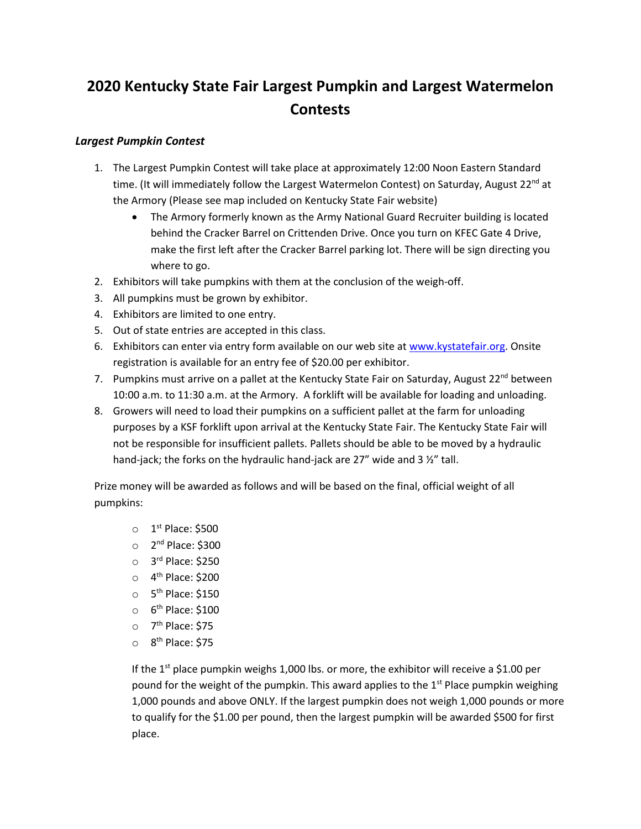## **2020 Kentucky State Fair Largest Pumpkin and Largest Watermelon Contests**

## *Largest Pumpkin Contest*

- 1. The Largest Pumpkin Contest will take place at approximately 12:00 Noon Eastern Standard time. (It will immediately follow the Largest Watermelon Contest) on Saturday, August 22<sup>nd</sup> at the Armory (Please see map included on Kentucky State Fair website)
	- The Armory formerly known as the Army National Guard Recruiter building is located behind the Cracker Barrel on Crittenden Drive. Once you turn on KFEC Gate 4 Drive, make the first left after the Cracker Barrel parking lot. There will be sign directing you where to go.
- 2. Exhibitors will take pumpkins with them at the conclusion of the weigh-off.
- 3. All pumpkins must be grown by exhibitor.
- 4. Exhibitors are limited to one entry.
- 5. Out of state entries are accepted in this class.
- 6. Exhibitors can enter via entry form available on our web site at [www.kystatefair.org.](http://www.kystatefair.org/) Onsite registration is available for an entry fee of \$20.00 per exhibitor.
- 7. Pumpkins must arrive on a pallet at the Kentucky State Fair on Saturday, August 22<sup>nd</sup> between 10:00 a.m. to 11:30 a.m. at the Armory. A forklift will be available for loading and unloading.
- 8. Growers will need to load their pumpkins on a sufficient pallet at the farm for unloading purposes by a KSF forklift upon arrival at the Kentucky State Fair. The Kentucky State Fair will not be responsible for insufficient pallets. Pallets should be able to be moved by a hydraulic hand-jack; the forks on the hydraulic hand-jack are 27" wide and 3 %" tall.

Prize money will be awarded as follows and will be based on the final, official weight of all pumpkins:

- $\circ$  1<sup>st</sup> Place: \$500
- o 2<sup>nd</sup> Place: \$300
- o 3<sup>rd</sup> Place: \$250
- o 4<sup>th</sup> Place: \$200
- o 5<sup>th</sup> Place: \$150
- o 6<sup>th</sup> Place: \$100
- o 7<sup>th</sup> Place: \$75
- o 8<sup>th</sup> Place: \$75

If the  $1<sup>st</sup>$  place pumpkin weighs 1,000 lbs. or more, the exhibitor will receive a \$1.00 per pound for the weight of the pumpkin. This award applies to the  $1<sup>st</sup>$  Place pumpkin weighing 1,000 pounds and above ONLY. If the largest pumpkin does not weigh 1,000 pounds or more to qualify for the \$1.00 per pound, then the largest pumpkin will be awarded \$500 for first place.